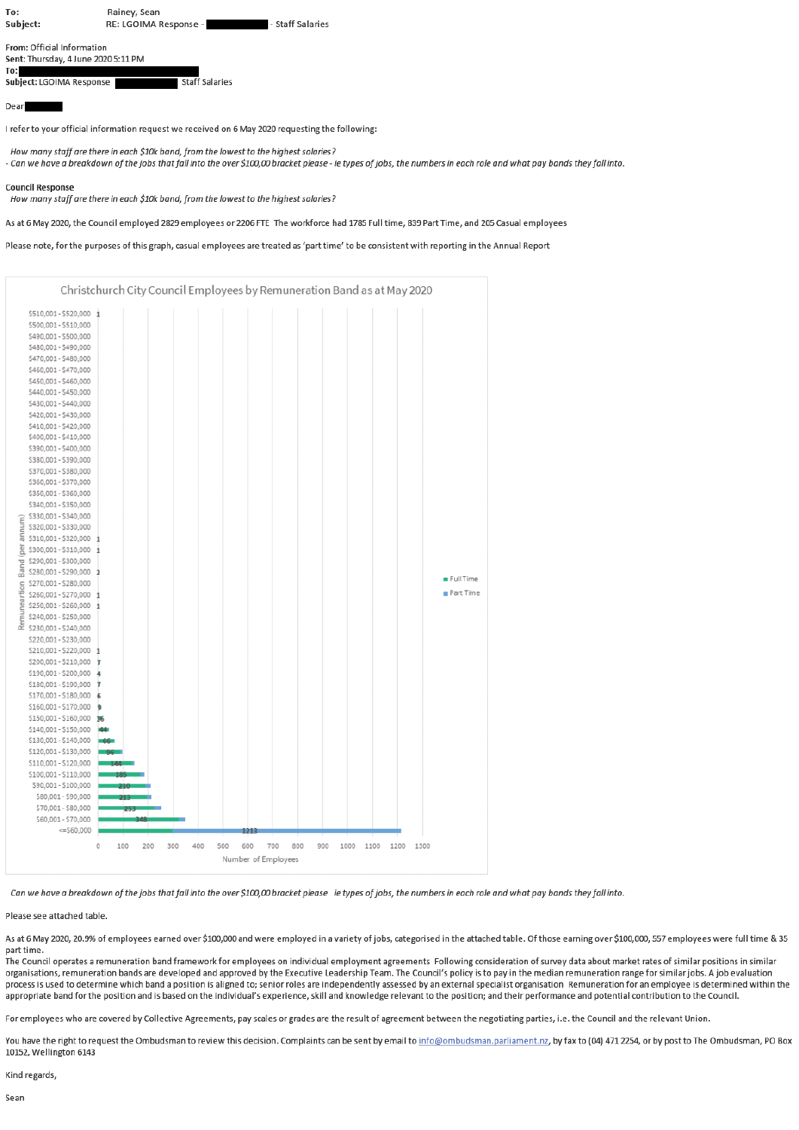| To:<br>Subject:                                                   | Rainey, Sean<br>RE: LGOIMA Response - | - Staff Salaries |  |  |  |  |  |  |  |  |  |
|-------------------------------------------------------------------|---------------------------------------|------------------|--|--|--|--|--|--|--|--|--|
| From: Official Information<br>Sent: Thursday, 4 June 2020 5:11 PM |                                       |                  |  |  |  |  |  |  |  |  |  |

| 10:                      |                       |
|--------------------------|-----------------------|
| Subject: LGOIMA Response | <b>Staff Salaries</b> |
|                          |                       |

Dear

I refer to your official information request we received on 6 May 2020 requesting the following:

How many staff are there in each \$10k band, from the lowest to the highest salaries?

- Can we have a breakdown of the jobs that fall into the over \$100,00 bracket please - ie types of jobs, the numbers in each role and what pay bands they fall into.

**Council Response** 

How many staff are there in each \$10k band, from the lowest to the highest salaries?

As at 6 May 2020, the Council employed 2829 employees or 2206 FTE The workforce had 1785 Full time, 839 Part Time, and 205 Casual employees

Please note, for the purposes of this graph, casual employees are treated as 'part time' to be consistent with reporting in the Annual Report



Can we have a breakdown of the jobs that fall into the over \$100,00 bracket please ie types of jobs, the numbers in each role and what pay bands they fall into

## Please see attached table.

As at 6 May 2020, 20.9% of employees earned over \$100,000 and were employed in a variety of jobs, categorised in the attached table. Of those earning over \$100,000, 557 employees were full time & 35 part time.

The Council operates a remuneration band framework for employees on individual employment agreements Following consideration of survey data about market rates of similar positions in similar organisations, remuneration bands are developed and approved by the Executive Leadership Team. The Council's policy is to pay in the median remuneration range for similar jobs. A job evaluation process is used to determine which band a position is aligned to; senior roles are independently assessed by an external specialist organisation Remuneration for an employee is determined within the appropriate band for the position and is based on the individual's experience, skill and knowledge relevant to the position; and their performance and potential contribution to the Council.

For employees who are covered by Collective Agreements, pay scales or grades are the result of agreement between the negotiating parties, i.e. the Council and the relevant Union.

You have the right to request the Ombudsman to review this decision. Complaints can be sent by email to info@ombudsman.parliament.nz, by fax to (04) 471 2254, or by post to The Ombudsman, PO Box 10152, Wellington 6143

Kind regards.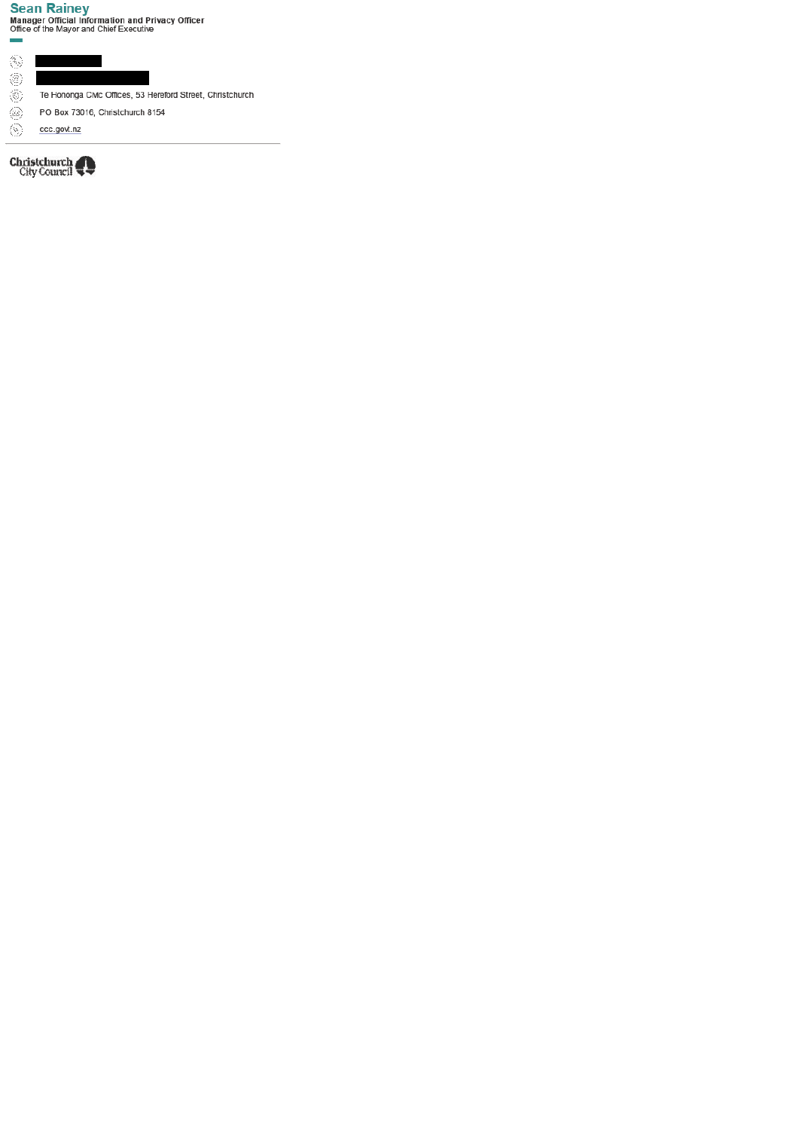**Sean Rainey**<br>Manager Official Information and Privacy Officer<br>Office of the Mayor and Chief Executive

 $\langle \hat{\xi}_2 \rangle$  $\begin{array}{c} \hline \end{array}$ 

 $\mathcal{L}_{\text{max}}$ 

- $\overline{\textcircled{\tiny 2}}$
- Te Hononga Civic Offices, 53 Hereford Street, Christchurch
- $\overline{\circ}$ PO Box 73016, Christchurch 8154
- $\ddot{\circ}$ ccc.govt.nz